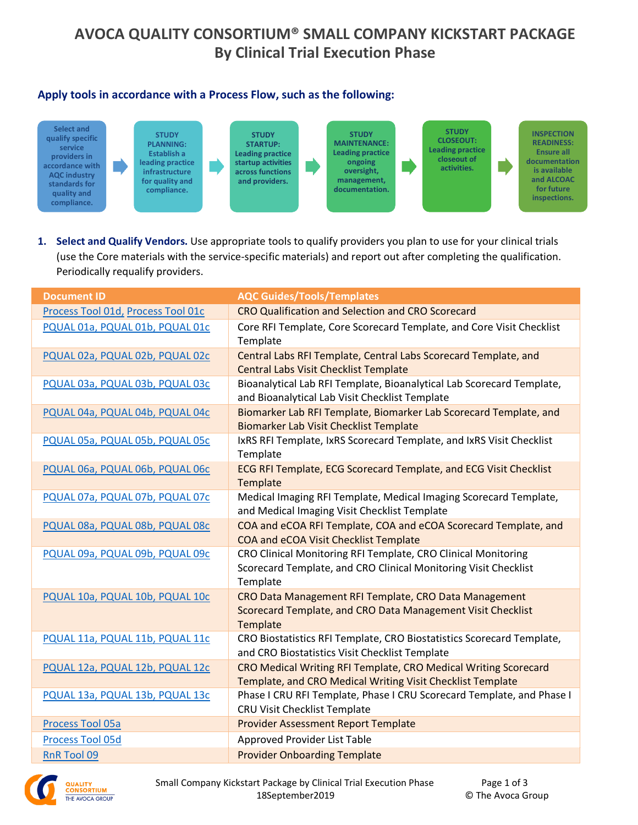# **AVOCA QUALITY CONSORTIUM® SMALL COMPANY KICKSTART PACKAGE By Clinical Trial Execution Phase**

### **Apply tools in accordance with a Process Flow, such as the following:**



**1. Select and Qualify Vendors.** Use appropriate tools to qualify providers you plan to use for your clinical trials (use the Core materials with the service-specific materials) and report out after completing the qualification. Periodically requalify providers.

| <b>Document ID</b>                 | <b>AQC Guides/Tools/Templates</b>                                                                                                            |
|------------------------------------|----------------------------------------------------------------------------------------------------------------------------------------------|
| Process Tool 01d, Process Tool 01c | CRO Qualification and Selection and CRO Scorecard                                                                                            |
| PQUAL 01a, PQUAL 01b, PQUAL 01c    | Core RFI Template, Core Scorecard Template, and Core Visit Checklist<br>Template                                                             |
| PQUAL 02a, PQUAL 02b, PQUAL 02c    | Central Labs RFI Template, Central Labs Scorecard Template, and<br><b>Central Labs Visit Checklist Template</b>                              |
| PQUAL 03a, PQUAL 03b, PQUAL 03c    | Bioanalytical Lab RFI Template, Bioanalytical Lab Scorecard Template,<br>and Bioanalytical Lab Visit Checklist Template                      |
| PQUAL 04a, PQUAL 04b, PQUAL 04c    | Biomarker Lab RFI Template, Biomarker Lab Scorecard Template, and<br><b>Biomarker Lab Visit Checklist Template</b>                           |
| PQUAL 05a, PQUAL 05b, PQUAL 05c    | IxRS RFI Template, IxRS Scorecard Template, and IxRS Visit Checklist<br>Template                                                             |
| PQUAL 06a, PQUAL 06b, PQUAL 06c    | ECG RFI Template, ECG Scorecard Template, and ECG Visit Checklist<br>Template                                                                |
| PQUAL 07a, PQUAL 07b, PQUAL 07c    | Medical Imaging RFI Template, Medical Imaging Scorecard Template,<br>and Medical Imaging Visit Checklist Template                            |
| PQUAL 08a, PQUAL 08b, PQUAL 08c    | COA and eCOA RFI Template, COA and eCOA Scorecard Template, and<br>COA and eCOA Visit Checklist Template                                     |
| PQUAL 09a, PQUAL 09b, PQUAL 09c    | CRO Clinical Monitoring RFI Template, CRO Clinical Monitoring<br>Scorecard Template, and CRO Clinical Monitoring Visit Checklist<br>Template |
| PQUAL 10a, PQUAL 10b, PQUAL 10c    | CRO Data Management RFI Template, CRO Data Management<br>Scorecard Template, and CRO Data Management Visit Checklist<br>Template             |
| PQUAL 11a, PQUAL 11b, PQUAL 11c    | CRO Biostatistics RFI Template, CRO Biostatistics Scorecard Template,<br>and CRO Biostatistics Visit Checklist Template                      |
| PQUAL 12a, PQUAL 12b, PQUAL 12c    | CRO Medical Writing RFI Template, CRO Medical Writing Scorecard<br>Template, and CRO Medical Writing Visit Checklist Template                |
| PQUAL 13a, PQUAL 13b, PQUAL 13c    | Phase I CRU RFI Template, Phase I CRU Scorecard Template, and Phase I<br>CRU Visit Checklist Template                                        |
| Process Tool 05a                   | <b>Provider Assessment Report Template</b>                                                                                                   |
| <b>Process Tool 05d</b>            | Approved Provider List Table                                                                                                                 |
| <b>RnR Tool 09</b>                 | <b>Provider Onboarding Template</b>                                                                                                          |

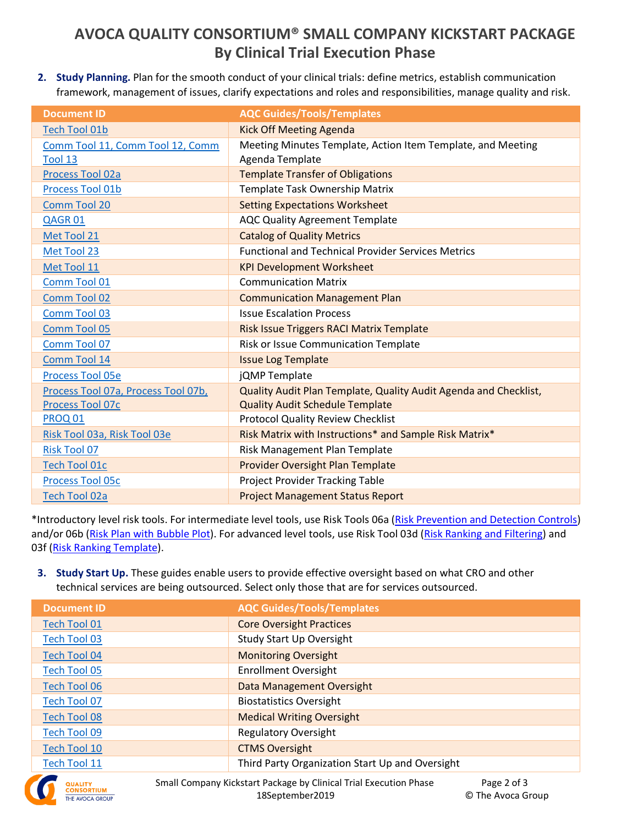# **AVOCA QUALITY CONSORTIUM® SMALL COMPANY KICKSTART PACKAGE By Clinical Trial Execution Phase**

**2. Study Planning.** Plan for the smooth conduct of your clinical trials: define metrics, establish communication framework, management of issues, clarify expectations and roles and responsibilities, manage quality and risk.

| <b>Document ID</b>                  | <b>AQC Guides/Tools/Templates</b>                                |
|-------------------------------------|------------------------------------------------------------------|
| <b>Tech Tool 01b</b>                | <b>Kick Off Meeting Agenda</b>                                   |
| Comm Tool 11, Comm Tool 12, Comm    | Meeting Minutes Template, Action Item Template, and Meeting      |
| Tool 13                             | Agenda Template                                                  |
| Process Tool 02a                    | <b>Template Transfer of Obligations</b>                          |
| Process Tool 01b                    | Template Task Ownership Matrix                                   |
| Comm Tool 20                        | <b>Setting Expectations Worksheet</b>                            |
| QAGR01                              | <b>AQC Quality Agreement Template</b>                            |
| Met Tool 21                         | <b>Catalog of Quality Metrics</b>                                |
| Met Tool 23                         | <b>Functional and Technical Provider Services Metrics</b>        |
| Met Tool 11                         | <b>KPI Development Worksheet</b>                                 |
| Comm Tool 01                        | <b>Communication Matrix</b>                                      |
| Comm Tool 02                        | <b>Communication Management Plan</b>                             |
| Comm Tool 03                        | <b>Issue Escalation Process</b>                                  |
| Comm Tool 05                        | Risk Issue Triggers RACI Matrix Template                         |
| Comm Tool 07                        | Risk or Issue Communication Template                             |
| Comm Tool 14                        | <b>Issue Log Template</b>                                        |
| Process Tool 05e                    | jQMP Template                                                    |
| Process Tool 07a, Process Tool 07b, | Quality Audit Plan Template, Quality Audit Agenda and Checklist, |
| Process Tool 07c                    | <b>Quality Audit Schedule Template</b>                           |
| <b>PROQ 01</b>                      | <b>Protocol Quality Review Checklist</b>                         |
| Risk Tool 03a, Risk Tool 03e        | Risk Matrix with Instructions* and Sample Risk Matrix*           |
| <b>Risk Tool 07</b>                 | Risk Management Plan Template                                    |
| <b>Tech Tool 01c</b>                | <b>Provider Oversight Plan Template</b>                          |
| Process Tool 05c                    | Project Provider Tracking Table                                  |
| <b>Tech Tool 02a</b>                | <b>Project Management Status Report</b>                          |

\*Introductory level risk tools. For intermediate level tools, use Risk Tools 06a [\(Risk Prevention and Detection Controls\)](https://qualityconsortium.theavocagroup.com/portal/Pages/qual/risk/risk-management/Risk%20Prevention%20and%20Detection%20Controls.aspx) and/or 06b [\(Risk Plan with Bubble Plot\)](https://qualityconsortium.theavocagroup.com/portal/Pages/qual/risk/risk-management-plans/Risk%20Plan%20with%20Bubble%20Plot.aspx). For advanced level tools, use Risk Tool 03d [\(Risk Ranking and Filtering\)](https://qualityconsortium.theavocagroup.com/portal/Pages/qual/risk/risk-assessment/Risk%20Ranking%20and%20Filtering.aspx) and 03f [\(Risk Ranking Template\)](https://qualityconsortium.theavocagroup.com/portal/Pages/qual/risk/risk-assessment/Risk%20Ranking%20Template.aspx).

**3. Study Start Up.** These guides enable users to provide effective oversight based on what CRO and other technical services are being outsourced. Select only those that are for services outsourced.

| <b>Document ID</b>  | <b>AQC Guides/Tools/Templates</b>                                                                               |
|---------------------|-----------------------------------------------------------------------------------------------------------------|
| Tech Tool 01        | <b>Core Oversight Practices</b>                                                                                 |
| Tech Tool 03        | Study Start Up Oversight                                                                                        |
| <b>Tech Tool 04</b> | <b>Monitoring Oversight</b>                                                                                     |
| <b>Tech Tool 05</b> | <b>Enrollment Oversight</b>                                                                                     |
| <b>Tech Tool 06</b> | Data Management Oversight                                                                                       |
| Tech Tool 07        | <b>Biostatistics Oversight</b>                                                                                  |
| <b>Tech Tool 08</b> | <b>Medical Writing Oversight</b>                                                                                |
| <b>Tech Tool 09</b> | <b>Regulatory Oversight</b>                                                                                     |
| <b>Tech Tool 10</b> | <b>CTMS Oversight</b>                                                                                           |
| <b>Tech Tool 11</b> | Third Party Organization Start Up and Oversight                                                                 |
|                     | Carrell Concerte and Richards in the classic form Clinical Taight Theorem Alexander Clinical Co<br>n <i>.</i> . |